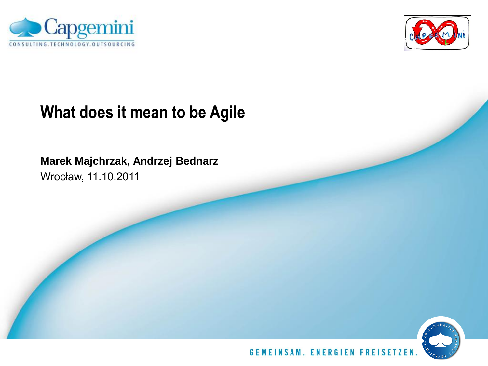



## **What does it mean to be Agile**

**Marek Majchrzak, Andrzej Bednarz**

Wrocław, 11.10.2011

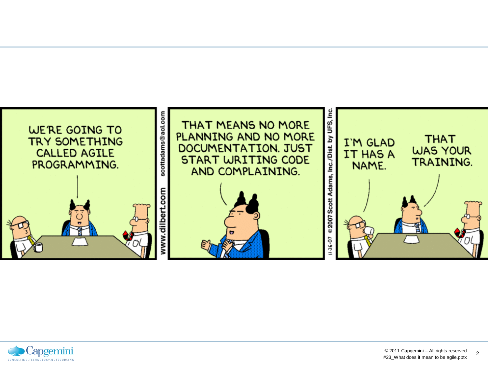

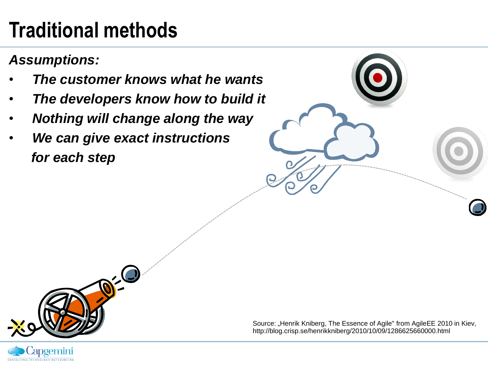# **Traditional methods**

*Assumptions:*

- • *The customer knows what he wants*
- • *The developers know how to build it*
- • *Nothing will change along the way*
- • *We can give exact instructions for each step*



Source: "Henrik Kniberg, The Essence of Agile" from AgileEE 2010 in Kiev, http://blog.crisp.se/henrikkniberg/2010/10/09/1286625660000.html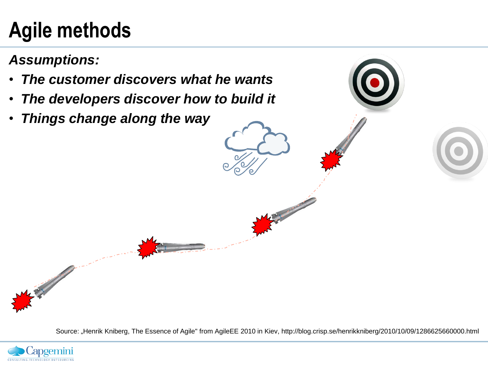# **Agile methods**

*Assumptions:*

- • *The customer discovers what he wants*
- • *The developers discover how to build it*
- • *Things change along the way*

Source: "Henrik Kniberg, The Essence of Agile" from AgileEE 2010 in Kiev, http://blog.crisp.se/henrikkniberg/2010/10/09/1286625660000.html

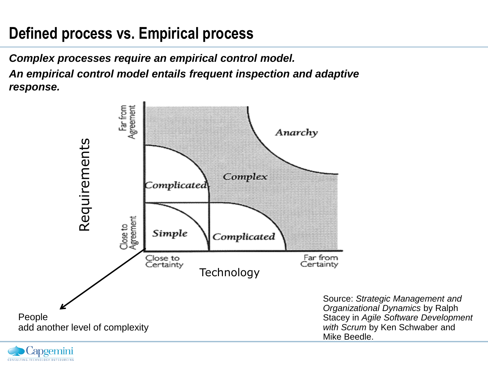## **Defined process vs. Empirical process**

*Complex processes require an empirical control model. An empirical control model entails frequent inspection and adaptive response.*



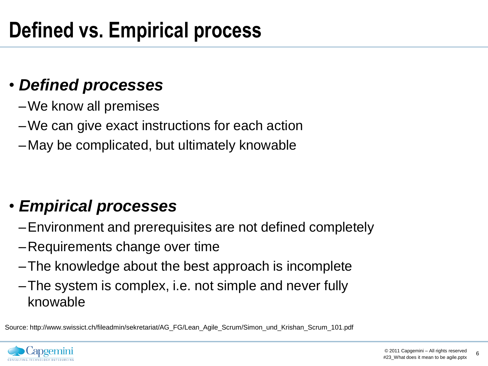## • *Defined processes*

- –We know all premises
- –We can give exact instructions for each action
- –May be complicated, but ultimately knowable

## • *Empirical processes*

- –Environment and prerequisites are not defined completely
- –Requirements change over time
- –The knowledge about the best approach is incomplete
- –The system is complex, i.e. not simple and never fully knowable

Source: http://www.swissict.ch/fileadmin/sekretariat/AG\_FG/Lean\_Agile\_Scrum/Simon\_und\_Krishan\_Scrum\_101.pdf

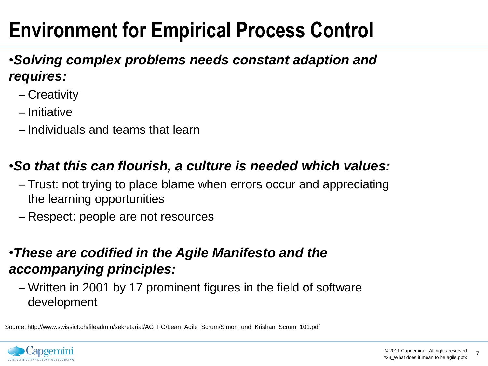# **Environment for Empirical Process Control**

#### •*Solving complex problems needs constant adaption and requires:*

- Creativity
- Initiative
- Individuals and teams that learn

### •*So that this can flourish, a culture is needed which values:*

- Trust: not trying to place blame when errors occur and appreciating the learning opportunities
- Respect: people are not resources

#### •*These are codified in the Agile Manifesto and the accompanying principles:*

– Written in 2001 by 17 prominent figures in the field of software development

Source: http://www.swissict.ch/fileadmin/sekretariat/AG\_FG/Lean\_Agile\_Scrum/Simon\_und\_Krishan\_Scrum\_101.pdf

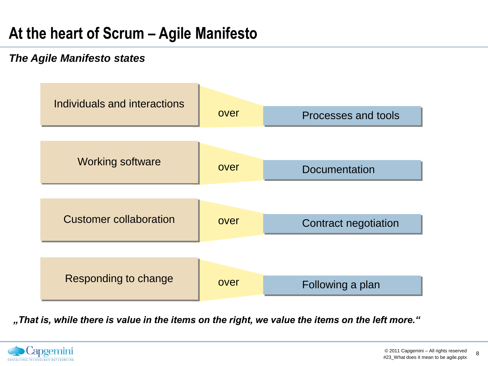### **At the heart of Scrum – Agile Manifesto**

#### *The Agile Manifesto states*



*"That is, while there is value in the items on the right, we value the items on the left more."*

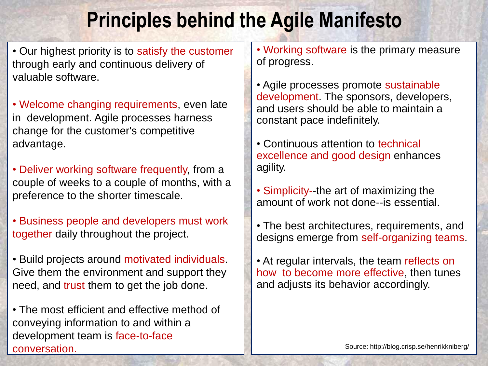## **Principles behind the Agile Manifesto**

• Our highest priority is to satisfy the customer through early and continuous delivery of valuable software.

• Welcome changing requirements, even late in development. Agile processes harness change for the customer's competitive advantage.

• Deliver working software frequently, from a couple of weeks to a couple of months, with a preference to the shorter timescale.

• Business people and developers must work together daily throughout the project.

• Build projects around motivated individuals. Give them the environment and support they need, and trust them to get the job done.

• The most efficient and effective method of conveying information to and within a development team is face-to-face conversation.

• Working software is the primary measure of progress.

• Agile processes promote sustainable development. The sponsors, developers, and users should be able to maintain a constant pace indefinitely.

• Continuous attention to technical excellence and good design enhances agility.

• Simplicity--the art of maximizing the amount of work not done--is essential.

• The best architectures, requirements, and designs emerge from self-organizing teams.

• At regular intervals, the team reflects on how to become more effective, then tunes and adjusts its behavior accordingly.

Source: http://blog.crisp.se/henrikkniberg/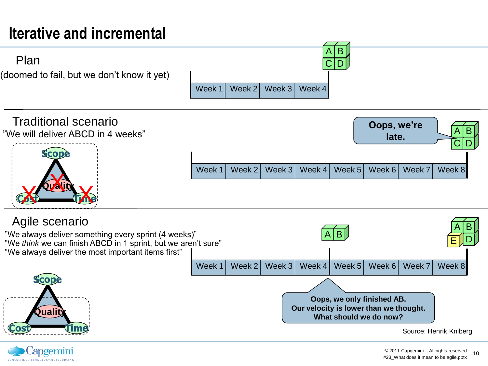## **Iterative and incremental**





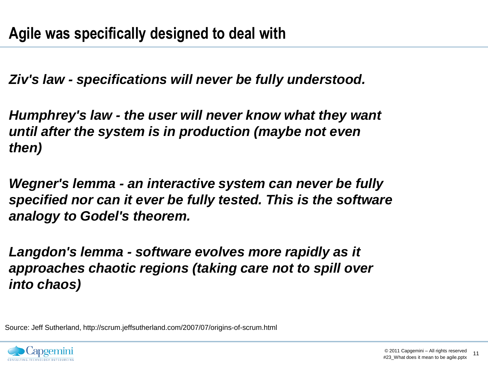*Ziv's law - specifications will never be fully understood.*

*Humphrey's law - the user will never know what they want until after the system is in production (maybe not even then)*

*Wegner's lemma - an interactive system can never be fully specified nor can it ever be fully tested. This is the software analogy to Godel's theorem.*

*Langdon's lemma - software evolves more rapidly as it approaches chaotic regions (taking care not to spill over into chaos)*

Source: Jeff Sutherland, http://scrum.jeffsutherland.com/2007/07/origins-of-scrum.html

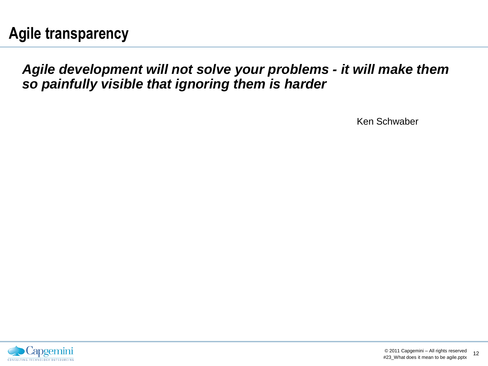#### *Agile development will not solve your problems - it will make them so painfully visible that ignoring them is harder*

Ken Schwaber

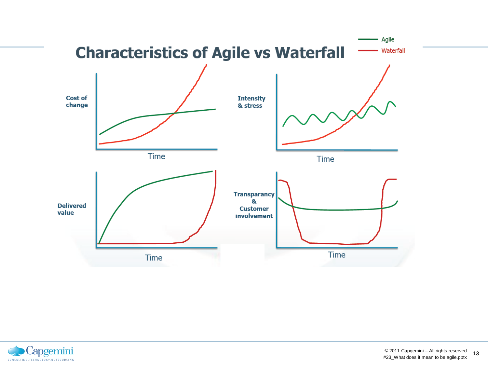

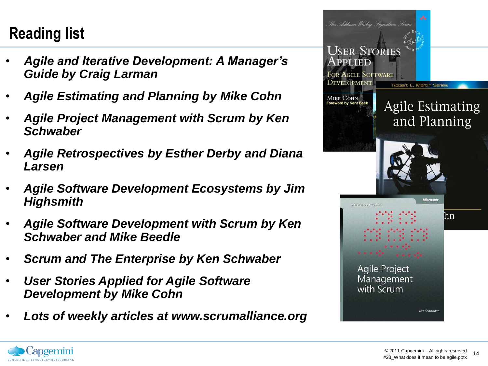## **Reading list**

- *Agile and Iterative Development: A Manager's Guide by Craig Larman*
- *Agile Estimating and Planning by Mike Cohn*
- *Agile Project Management with Scrum by Ken Schwaber*
- *Agile Retrospectives by Esther Derby and Diana Larsen*
- *Agile Software Development Ecosystems by Jim Highsmith*
- *Agile Software Development with Scrum by Ken Schwaber and Mike Beedle*
- *Scrum and The Enterprise by Ken Schwaber*
- *User Stories Applied for Agile Software Development by Mike Cohn*
- *Lots of weekly articles at www.scrumalliance.org*



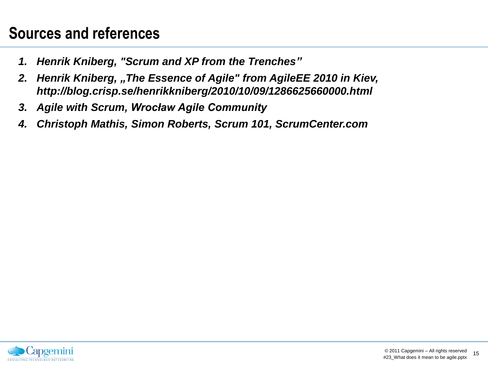### **Sources and references**

- *1. Henrik Kniberg, "Scrum and XP from the Trenches"*
- *2. Henrik Kniberg, "The Essence of Agile" from AgileEE 2010 in Kiev, http://blog.crisp.se/henrikkniberg/2010/10/09/1286625660000.html*
- *3. Agile with Scrum, Wrocław Agile Community*
- *4. Christoph Mathis, Simon Roberts, Scrum 101, ScrumCenter.com*

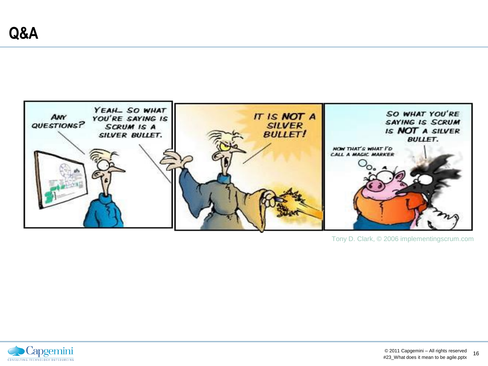

Tony D. Clark, © 2006 implementingscrum.com